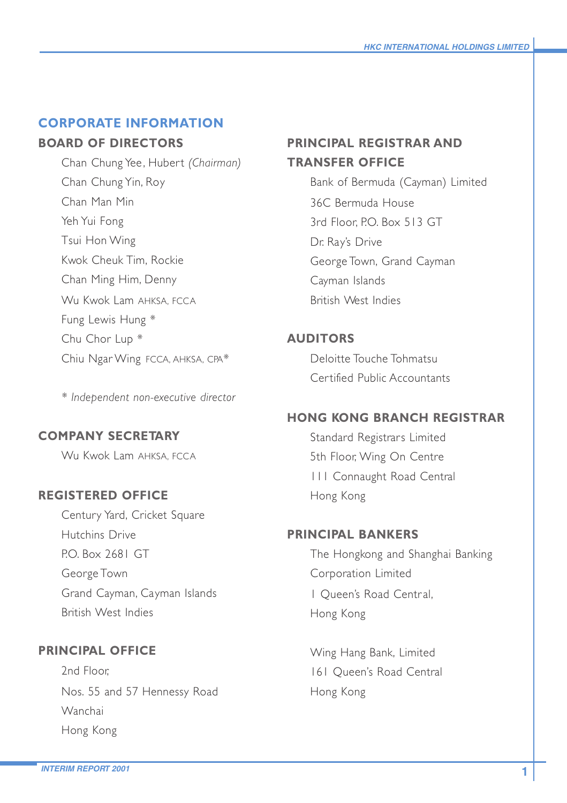# **CORPORATE INFORMATION**

# **BOARD OF DIRECTORS**

Chan Chung Yee, Hubert *(Chairman)* Chan Chung Yin, Roy Chan Man Min Yeh Yui Fong Tsui Hon Wing Kwok Cheuk Tim, Rockie Chan Ming Him, Denny Wu Kwok Lam AHKSA, FCCA Fung Lewis Hung \* Chu Chor Lup \* Chiu Ngar Wing FCCA, AHKSA, CPA\*

*\* Independent non-executive director*

# **COMPANY SECRETARY**

Wu Kwok Lam AHKSA, FCCA

# **REGISTERED OFFICE**

Century Yard, Cricket Square Hutchins Drive P.O. Box 2681 GT George Town Grand Cayman, Cayman Islands British West Indies

# **PRINCIPAL OFFICE**

2nd Floor, Nos. 55 and 57 Hennessy Road Wanchai Hong Kong

# **PRINCIPAL REGISTRAR AND TRANSFER OFFICE**

Bank of Bermuda (Cayman) Limited 36C Bermuda House 3rd Floor, P.O. Box 513 GT Dr. Ray's Drive George Town, Grand Cayman Cayman Islands British West Indies

# **AUDITORS**

Deloitte Touche Tohmatsu Certified Public Accountants

# **HONG KONG BRANCH REGISTRAR**

Standard Registrars Limited 5th Floor, Wing On Centre 111 Connaught Road Central Hong Kong

## **PRINCIPAL BANKERS**

The Hongkong and Shanghai Banking Corporation Limited 1 Queen's Road Central, Hong Kong

Wing Hang Bank, Limited 161 Queen's Road Central Hong Kong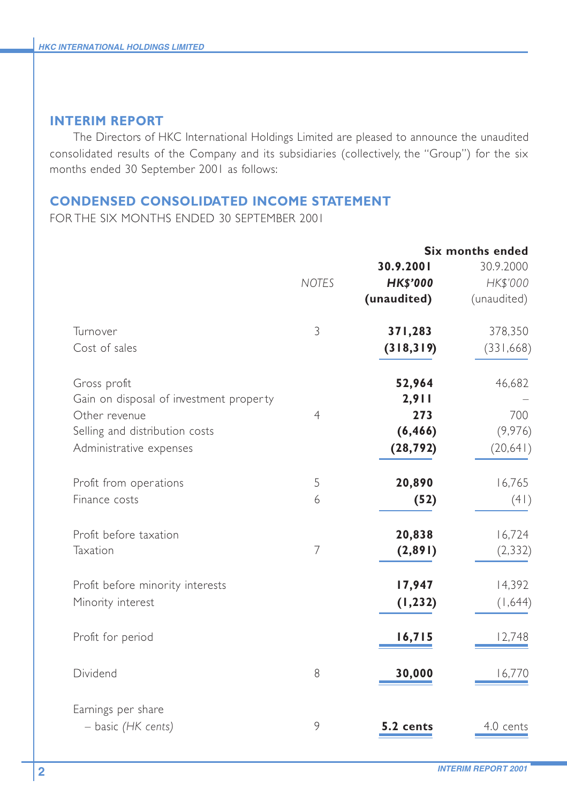### **INTERIM REPORT**

The Directors of HKC International Holdings Limited are pleased to announce the unaudited consolidated results of the Company and its subsidiaries (collectively, the "Group") for the six months ended 30 September 2001 as follows:

### **CONDENSED CONSOLIDATED INCOME STATEMENT**

FOR THE SIX MONTHS ENDED 30 SEPTEMBER 2001

|                                         |                |                 | <b>Six months ended</b> |
|-----------------------------------------|----------------|-----------------|-------------------------|
|                                         |                | 30.9.2001       | 30.9.2000               |
|                                         | <b>NOTES</b>   | <b>HK\$'000</b> | HK\$'000                |
|                                         |                | (unaudited)     | (unaudited)             |
| Turnover                                | 3              | 371,283         | 378,350                 |
| Cost of sales                           |                | (318, 319)      | (331, 668)              |
| Gross profit                            |                | 52,964          | 46,682                  |
| Gain on disposal of investment property |                | 2,911           |                         |
| Other revenue                           | $\overline{4}$ | 273             | 700                     |
| Selling and distribution costs          |                | (6, 466)        | (9,976)                 |
| Administrative expenses                 |                | (28, 792)       | (20, 641)               |
| Profit from operations                  | 5              | 20,890          | 16,765                  |
| Finance costs                           | 6              | (52)            | (41)                    |
| Profit before taxation                  |                | 20,838          | 16,724                  |
| Taxation                                | $\overline{7}$ | (2,891)         | (2, 332)                |
| Profit before minority interests        |                | 17,947          | 14,392                  |
| Minority interest                       |                | (1, 232)        | (1,644)                 |
| Profit for period                       |                | 16,715          | 12,748                  |
| Dividend                                | 8              | 30,000          | 16,770                  |
| Earnings per share                      |                |                 |                         |
| - basic (HK cents)                      | 9              | 5.2 cents       | 4.0 cents               |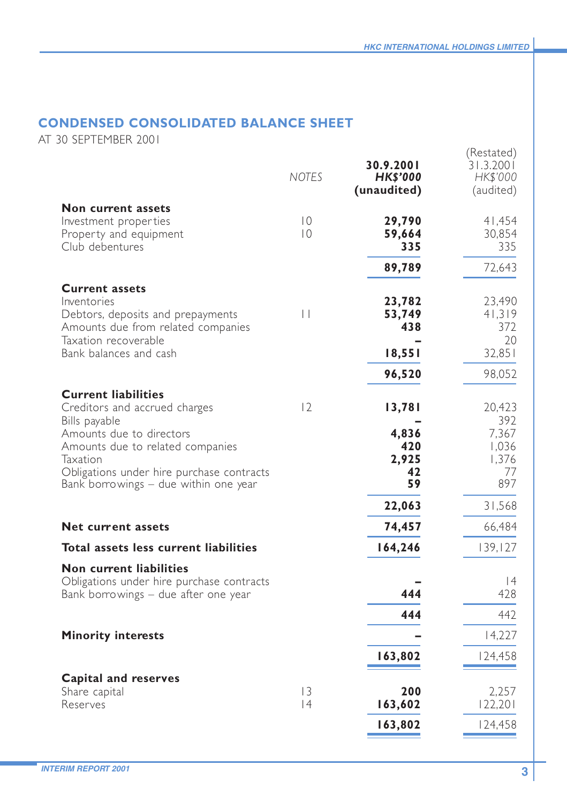# **CONDENSED CONSOLIDATED BALANCE SHEET**

AT 30 SEPTEMBER 2001

|                                                                                                                                                                                                                  | <b>NOTES</b>                     | 30.9.2001<br><b>HK\$'000</b><br>(unaudited) | (Restated)<br>31.3.2001<br>HK\$'000<br>(audited)      |
|------------------------------------------------------------------------------------------------------------------------------------------------------------------------------------------------------------------|----------------------------------|---------------------------------------------|-------------------------------------------------------|
| Non current assets<br>Investment properties<br>Property and equipment<br>Club debentures                                                                                                                         | $\overline{0}$<br>$\overline{0}$ | 29,790<br>59,664<br>335                     | 41,454<br>30,854<br>335                               |
|                                                                                                                                                                                                                  |                                  | 89,789                                      | 72,643                                                |
| <b>Current assets</b><br>Inventories<br>Debtors, deposits and prepayments<br>Amounts due from related companies<br>Taxation recoverable<br>Bank balances and cash                                                | $\vert \ \vert$                  | 23,782<br>53,749<br>438<br>18,551           | 23,490<br>41,319<br>372<br>20<br>32,851               |
|                                                                                                                                                                                                                  |                                  | 96,520                                      | 98,052                                                |
| <b>Current liabilities</b>                                                                                                                                                                                       |                                  |                                             |                                                       |
| Creditors and accrued charges<br>Bills payable<br>Amounts due to directors<br>Amounts due to related companies<br>Taxation<br>Obligations under hire purchase contracts<br>Bank borrowings - due within one year | 2                                | 13,781<br>4,836<br>420<br>2,925<br>42<br>59 | 20,423<br>392<br>7,367<br>1,036<br>1,376<br>77<br>897 |
|                                                                                                                                                                                                                  |                                  | 22,063                                      | 31,568                                                |
| <b>Net current assets</b>                                                                                                                                                                                        |                                  | 74,457                                      | 66,484                                                |
| Total assets less current liabilities                                                                                                                                                                            |                                  | 164,246                                     | 139, 127                                              |
| Non current liabilities<br>Obligations under hire purchase contracts<br>Bank borrowings - due after one year                                                                                                     |                                  | 444<br>444                                  | 4<br>428<br>442                                       |
| <b>Minority interests</b>                                                                                                                                                                                        |                                  |                                             | 14,227                                                |
|                                                                                                                                                                                                                  |                                  | 163,802                                     | 124,458                                               |
| Capital and reserves<br>Share capital<br>Reserves                                                                                                                                                                | $\overline{13}$<br> 4            | 200<br>163,602<br>163,802                   | 2,257<br>122,201<br>124,458                           |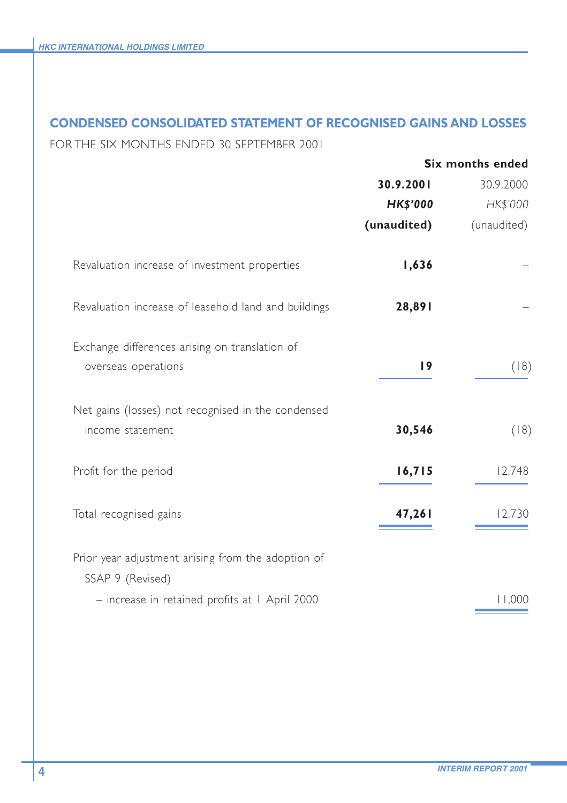## **CONDENSED CONSOLIDATED STATEMENT OF RECOGNISED GAINS AND LOSSES**

FOR THE SIX MONTHS ENDED 30 SEPTEMBER 2001

|                                                                        |                 | <b>Six months ended</b> |
|------------------------------------------------------------------------|-----------------|-------------------------|
|                                                                        | 30.9.2001       | 30.9.2000               |
|                                                                        | <b>HK\$'000</b> | HK\$'000                |
|                                                                        | (unaudited)     | (unaudited)             |
| Revaluation increase of investment properties                          | 1,636           |                         |
| Revaluation increase of leasehold land and buildings                   | 28,891          |                         |
| Exchange differences arising on translation of<br>overseas operations  | 19              | (18)                    |
| Net gains (losses) not recognised in the condensed<br>income statement | 30,546          | (18)                    |
| Profit for the period                                                  | 16,715          | 12,748                  |
| Total recognised gains                                                 | 47,261          | 12,730                  |
| Prior year adjustment arising from the adoption of                     |                 |                         |
| SSAP 9 (Revised)<br>- increase in retained profits at I April 2000     |                 | 11,000                  |
|                                                                        |                 |                         |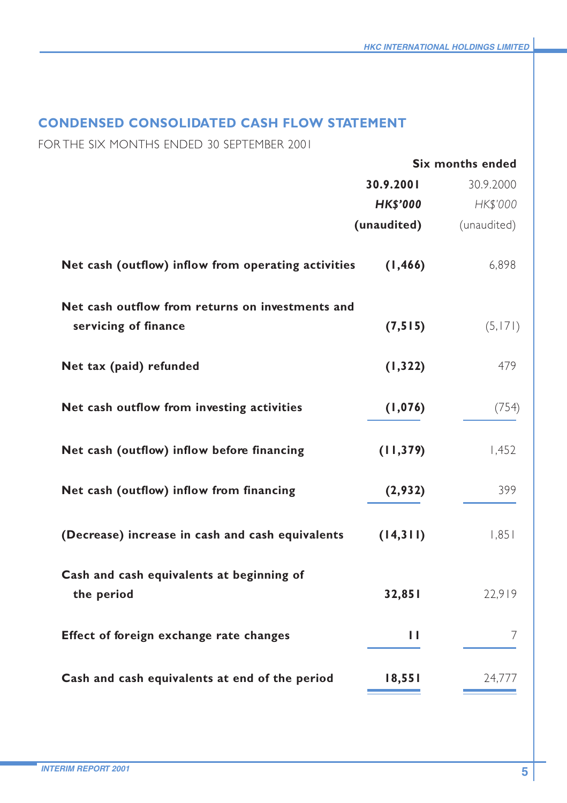# **CONDENSED CONSOLIDATED CASH FLOW STATEMENT**

FOR THE SIX MONTHS ENDED 30 SEPTEMBER 2001

|                                                         |                 | <b>Six months ended</b> |
|---------------------------------------------------------|-----------------|-------------------------|
|                                                         | 30.9.2001       | 30.9.2000               |
|                                                         | <b>HK\$'000</b> | HK\$'000                |
|                                                         | (unaudited)     | (unaudited)             |
| Net cash (outflow) inflow from operating activities     | (1, 466)        | 6,898                   |
| Net cash outflow from returns on investments and        |                 |                         |
| servicing of finance                                    | (7, 515)        | (5, 171)                |
| Net tax (paid) refunded                                 | (1, 322)        | 479                     |
| Net cash outflow from investing activities              | (1,076)         | (754)                   |
| Net cash (outflow) inflow before financing              | (11, 379)       | 1,452                   |
| Net cash (outflow) inflow from financing                | (2,932)         | 399                     |
| (Decrease) increase in cash and cash equivalents        | (14,311)        | 1,851                   |
| Cash and cash equivalents at beginning of<br>the period | 32,851          | 22.919                  |
| Effect of foreign exchange rate changes                 | ш               | 7                       |
| Cash and cash equivalents at end of the period          | 18,551          | 24,777                  |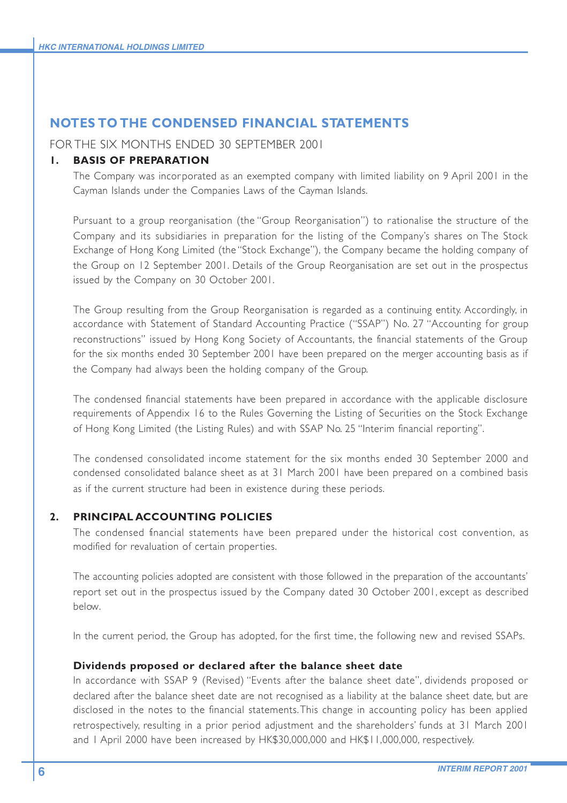### **NOTES TO THE CONDENSED FINANCIAL STATEMENTS**

FOR THE SIX MONTHS ENDED 30 SEPTEMBER 2001

#### **1. BASIS OF PREPARATION**

The Company was incorporated as an exempted company with limited liability on 9 April 2001 in the Cayman Islands under the Companies Laws of the Cayman Islands.

Pursuant to a group reorganisation (the "Group Reorganisation") to rationalise the structure of the Company and its subsidiaries in preparation for the listing of the Company's shares on The Stock Exchange of Hong Kong Limited (the "Stock Exchange"), the Company became the holding company of the Group on 12 September 2001. Details of the Group Reorganisation are set out in the prospectus issued by the Company on 30 October 2001.

The Group resulting from the Group Reorganisation is regarded as a continuing entity. Accordingly, in accordance with Statement of Standard Accounting Practice ("SSAP") No. 27 "Accounting for group reconstructions" issued by Hong Kong Society of Accountants, the financial statements of the Group for the six months ended 30 September 2001 have been prepared on the merger accounting basis as if the Company had always been the holding company of the Group.

The condensed financial statements have been prepared in accordance with the applicable disclosure requirements of Appendix 16 to the Rules Governing the Listing of Securities on the Stock Exchange of Hong Kong Limited (the Listing Rules) and with SSAP No. 25 "Interim financial reporting".

The condensed consolidated income statement for the six months ended 30 September 2000 and condensed consolidated balance sheet as at 31 March 2001 have been prepared on a combined basis as if the current structure had been in existence during these periods.

#### **2. PRINCIPAL ACCOUNTING POLICIES**

The condensed financial statements have been prepared under the historical cost convention, as modified for revaluation of certain properties.

The accounting policies adopted are consistent with those followed in the preparation of the accountants' report set out in the prospectus issued by the Company dated 30 October 2001, except as described below.

In the current period, the Group has adopted, for the first time, the following new and revised SSAPs.

#### **Dividends proposed or declared after the balance sheet date**

In accordance with SSAP 9 (Revised) "Events after the balance sheet date", dividends proposed or declared after the balance sheet date are not recognised as a liability at the balance sheet date, but are disclosed in the notes to the financial statements. This change in accounting policy has been applied retrospectively, resulting in a prior period adjustment and the shareholders' funds at 31 March 2001 and 1 April 2000 have been increased by HK\$30,000,000 and HK\$11,000,000, respectively.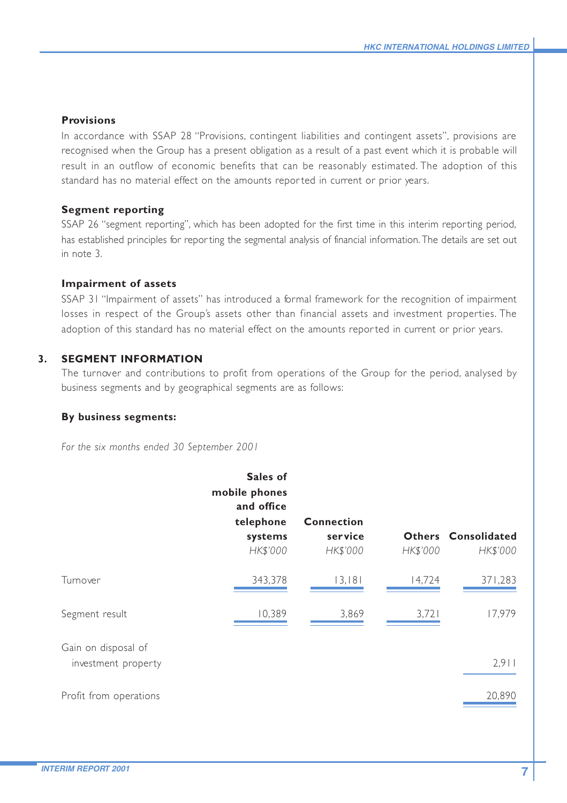#### **Provisions**

In accordance with SSAP 28 "Provisions, contingent liabilities and contingent assets", provisions are recognised when the Group has a present obligation as a result of a past event which it is probable will result in an outflow of economic benefits that can be reasonably estimated. The adoption of this standard has no material effect on the amounts repor ted in current or prior years.

#### **Segment reporting**

SSAP 26 "segment reporting", which has been adopted for the first time in this interim reporting period, has established principles for repor ting the segmental analysis of financial information. The details are set out in note 3.

#### **Impairment of assets**

SSAP 31 "Impairment of assets" has introduced a formal framework for the recognition of impairment losses in respect of the Group's assets other than financial assets and investment properties. The adoption of this standard has no material effect on the amounts reported in current or prior years.

#### **3. SEGMENT INFORMATION**

The turnover and contributions to profit from operations of the Group for the period, analysed by business segments and by geographical segments are as follows:

#### **By business segments:**

*For the six months ended 30 September 2001*

|                        | Sales of<br>mobile phones<br>and office<br>telephone | <b>Connection</b> |          |                     |
|------------------------|------------------------------------------------------|-------------------|----------|---------------------|
|                        | systems                                              | service           |          | Others Consolidated |
|                        | HK\$'000                                             | HK\$'000          | HK\$'000 | HK\$'000            |
| Turnover               | 343,378                                              | 13,181            | 14,724   | 371,283             |
| Segment result         | 10,389                                               | 3,869             | 3,721    | 17,979              |
| Gain on disposal of    |                                                      |                   |          |                     |
| investment property    |                                                      |                   |          | 2,911               |
| Profit from operations |                                                      |                   |          | 20,890              |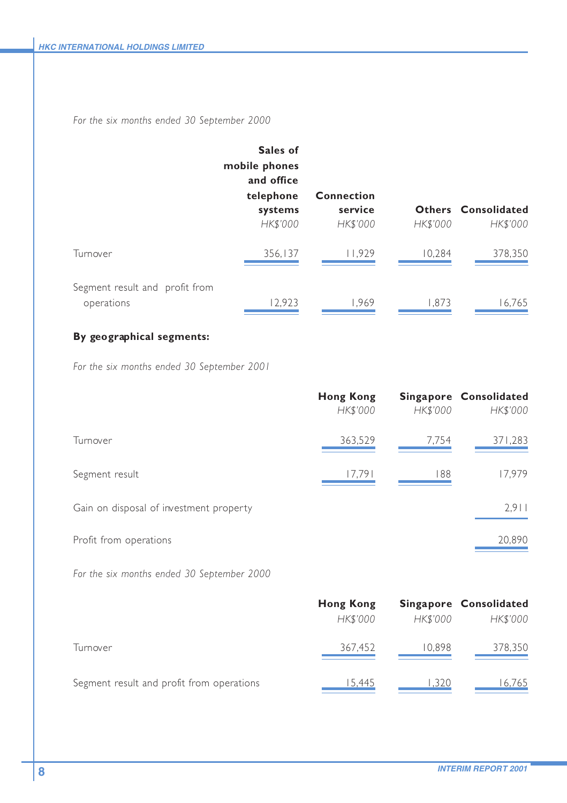*For the six months ended 30 September 2000*

|                                              | Sales of<br>mobile phones<br>and office<br>telephone<br>systems<br>HK\$'000 | <b>Connection</b><br>service<br>HK\$'000 | HK\$'000 | Others Consolidated<br>HK\$'000 |
|----------------------------------------------|-----------------------------------------------------------------------------|------------------------------------------|----------|---------------------------------|
| Turnover                                     | 356,137                                                                     | 11,929                                   | 10,284   | 378,350                         |
| Segment result and profit from<br>operations | 12,923                                                                      | 1.969                                    | 1.873    | 16,765                          |

## **By geographical segments:**

*For the six months ended 30 September 2001*

|                                         | <b>Hong Kong</b><br>HK\$'000 | HK\$'000 | Singapore Consolidated<br>HK\$'000 |
|-----------------------------------------|------------------------------|----------|------------------------------------|
| Turnover                                | 363,529                      | 7,754    | 371,283                            |
| Segment result                          | 17,791                       | 188      | 17,979                             |
| Gain on disposal of investment property |                              |          | 2.911                              |
| Profit from operations                  |                              |          | 20,890                             |

*For the six months ended 30 September 2000*

|                                           | Hong Kong |          | Singapore Consolidated |
|-------------------------------------------|-----------|----------|------------------------|
|                                           | HK\$'000  | HK\$'000 | HK\$'000               |
| Turnover                                  | 367,452   | 10.898   | 378,350                |
| Segment result and profit from operations | 15.445    | .320     | 16.765                 |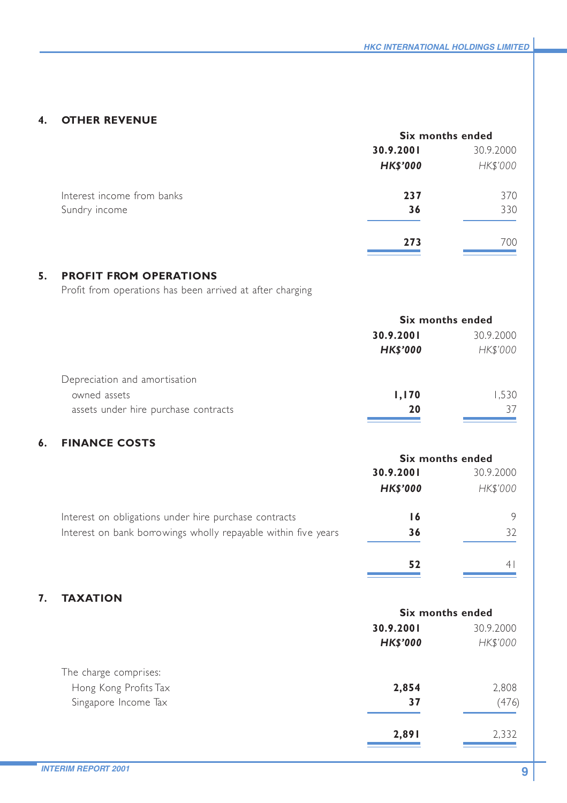### **4. OTHER REVENUE**

|                            | Six months ended |           |
|----------------------------|------------------|-----------|
|                            | 30.9.2001        | 30.9.2000 |
|                            | <b>HK\$'000</b>  | HK\$'000  |
| Interest income from banks | 237              | 370       |
| Sundry income              | 36               | 330       |
|                            | 273              | 700       |

# **5. PROFIT FROM OPERATIONS**

Profit from operations has been arrived at after charging

|                                      | Six months ended |           |
|--------------------------------------|------------------|-----------|
|                                      | 30.9.2001        | 30.9.2000 |
|                                      | <b>HK\$'000</b>  | HK\$'000  |
| Depreciation and amortisation        |                  |           |
| owned assets                         | 1,170            | 1.530     |
| assets under hire purchase contracts | 20               | 37        |

## **6. FINANCE COSTS**

|                                                                | Six months ended |           |
|----------------------------------------------------------------|------------------|-----------|
|                                                                | 30.9.2001        | 30.9.2000 |
|                                                                | <b>HK\$'000</b>  | HK\$'000  |
| Interest on obligations under hire purchase contracts          | ۱6               | 9         |
| Interest on bank borrowings wholly repayable within five years | 36               | 32        |
|                                                                | 52               |           |

## **7. TAXATION**

|                       | Six months ended |           |
|-----------------------|------------------|-----------|
|                       | 30.9.2001        | 30.9.2000 |
|                       | <b>HK\$'000</b>  | HK\$'000  |
| The charge comprises: |                  |           |
| Hong Kong Profits Tax | 2,854            | 2,808     |
| Singapore Income Tax  | 37               | (476)     |
|                       | 2,891            | 2,332     |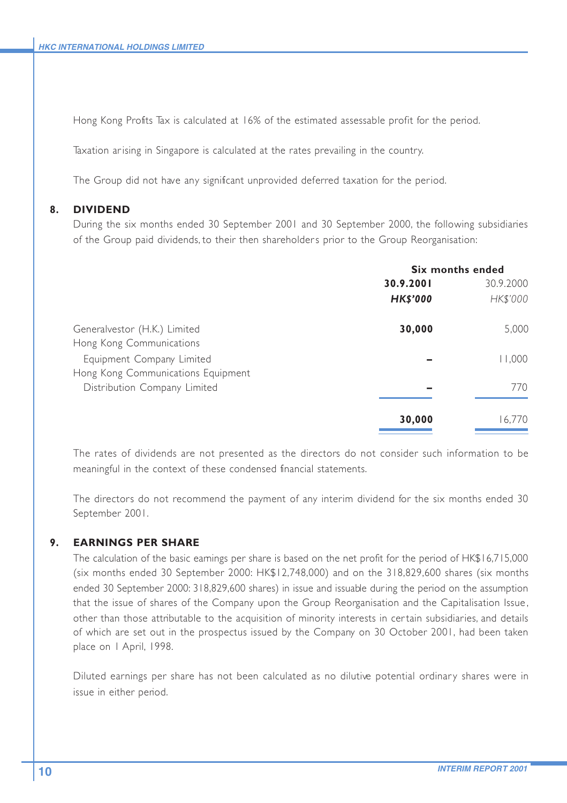Hong Kong Profits Tax is calculated at 16% of the estimated assessable profit for the period.

Taxation arising in Singapore is calculated at the rates prevailing in the country.

The Group did not have any significant unprovided deferred taxation for the period.

#### **8. DIVIDEND**

During the six months ended 30 September 2001 and 30 September 2000, the following subsidiaries of the Group paid dividends, to their then shareholders prior to the Group Reorganisation:

|                                    | Six months ended |           |
|------------------------------------|------------------|-----------|
|                                    | 30.9.2001        | 30.9.2000 |
|                                    | <b>HK\$'000</b>  | HK\$'000  |
| Generalvestor (H.K.) Limited       | 30,000           | 5,000     |
| Hong Kong Communications           |                  |           |
| Equipment Company Limited          |                  | 11,000    |
| Hong Kong Communications Equipment |                  |           |
| Distribution Company Limited       |                  | 770       |
|                                    | 30,000           | 16.770    |
|                                    |                  |           |

The rates of dividends are not presented as the directors do not consider such information to be meaningful in the context of these condensed financial statements.

The directors do not recommend the payment of any interim dividend for the six months ended 30 September 2001.

#### **9. EARNINGS PER SHARE**

The calculation of the basic earnings per share is based on the net profit for the period of HK\$16,715,000 (six months ended 30 September 2000: HK\$12,748,000) and on the 318,829,600 shares (six months ended 30 September 2000: 318,829,600 shares) in issue and issuable during the period on the assumption that the issue of shares of the Company upon the Group Reorganisation and the Capitalisation Issue , other than those attributable to the acquisition of minority interests in cer tain subsidiaries, and details of which are set out in the prospectus issued by the Company on 30 October 2001, had been taken place on 1 April, 1998.

Diluted earnings per share has not been calculated as no dilutive potential ordinary shares were in issue in either period.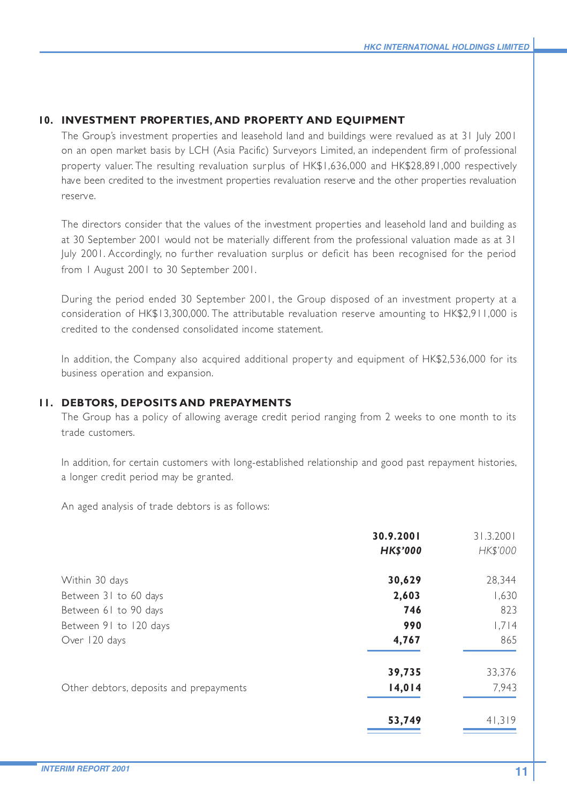#### **10. INVESTMENT PROPERTIES, AND PROPERTY AND EQUIPMENT**

The Group's investment properties and leasehold land and buildings were revalued as at 31 July 2001 on an open market basis by LCH (Asia Pacific) Surveyors Limited, an independent firm of professional property valuer. The resulting revaluation surplus of HK\$1,636,000 and HK\$28,891,000 respectively have been credited to the investment properties revaluation reserve and the other properties revaluation reserve.

The directors consider that the values of the investment properties and leasehold land and building as at 30 September 2001 would not be materially different from the professional valuation made as at 31 July 2001. Accordingly, no further revaluation surplus or deficit has been recognised for the period from 1 August 2001 to 30 September 2001.

During the period ended 30 September 2001, the Group disposed of an investment property at a consideration of HK\$13,300,000. The attributable revaluation reserve amounting to HK\$2,911,000 is credited to the condensed consolidated income statement.

In addition, the Company also acquired additional property and equipment of HK\$2,536,000 for its business operation and expansion.

#### **11. DEBTORS, DEPOSITS AND PREPAYMENTS**

The Group has a policy of allowing average credit period ranging from 2 weeks to one month to its trade customers.

In addition, for certain customers with long-established relationship and good past repayment histories, a longer credit period may be granted.

An aged analysis of trade debtors is as follows:

|                                         | 30.9.2001       | 31.3.2001 |
|-----------------------------------------|-----------------|-----------|
|                                         | <b>HK\$'000</b> | HK\$'000  |
| Within 30 days                          | 30,629          | 28,344    |
| Between 31 to 60 days                   | 2,603           | 1,630     |
| Between 61 to 90 days                   | 746             | 823       |
| Between 91 to 120 days                  | 990             | 1.714     |
| Over 120 days                           | 4,767           | 865       |
|                                         | 39,735          | 33,376    |
| Other debtors, deposits and prepayments | 14,014          | 7.943     |
|                                         | 53,749          | 41.319    |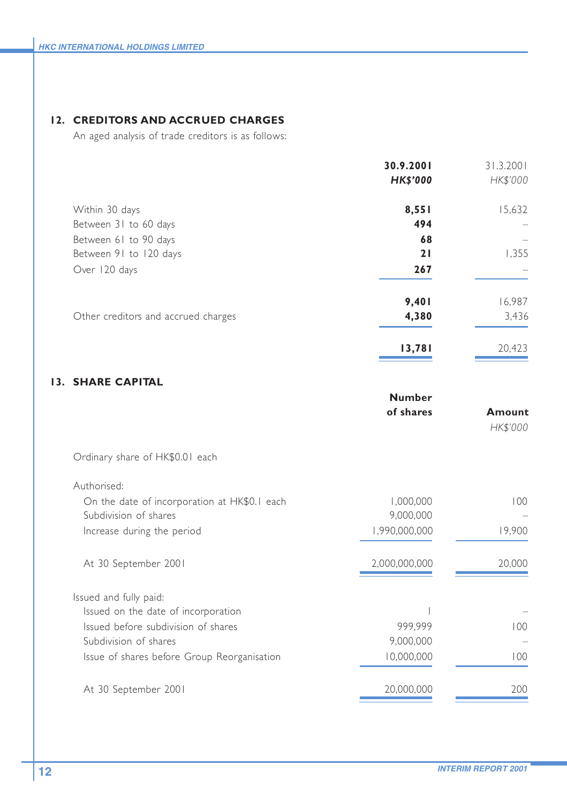### **12. CREDITORS AND ACCRUED CHARGES**

An aged analysis of trade creditors is as follows:

|                                     | 30.9.2001<br><b>HK\$'000</b> | 31.3.2001<br>HK\$'000 |
|-------------------------------------|------------------------------|-----------------------|
| Within 30 days                      | 8,551                        | 15,632                |
| Between 31 to 60 days               | 494                          |                       |
| Between 61 to 90 days               | 68                           |                       |
| Between 91 to 120 days              | 21                           | 1,355                 |
| Over 120 days                       | 267                          |                       |
|                                     | 9,401                        | 16,987                |
| Other creditors and accrued charges | 4,380                        | 3,436                 |
|                                     | 13,781                       | 20.423                |

### **13. SHARE CAPITAL**

| <b>Number</b><br>of shares | Amount<br>HK\$'000 |
|----------------------------|--------------------|
|                            |                    |
|                            |                    |
| 1,000,000                  | 100                |
|                            |                    |
| 1,990,000,000              | 19,900             |
| 2,000,000,000              | 20,000             |
|                            |                    |
|                            |                    |
| 999.999                    | 100                |
| 9,000,000                  |                    |
| 10,000,000                 | 100                |
| 20,000,000                 | 200                |
|                            | 9,000,000          |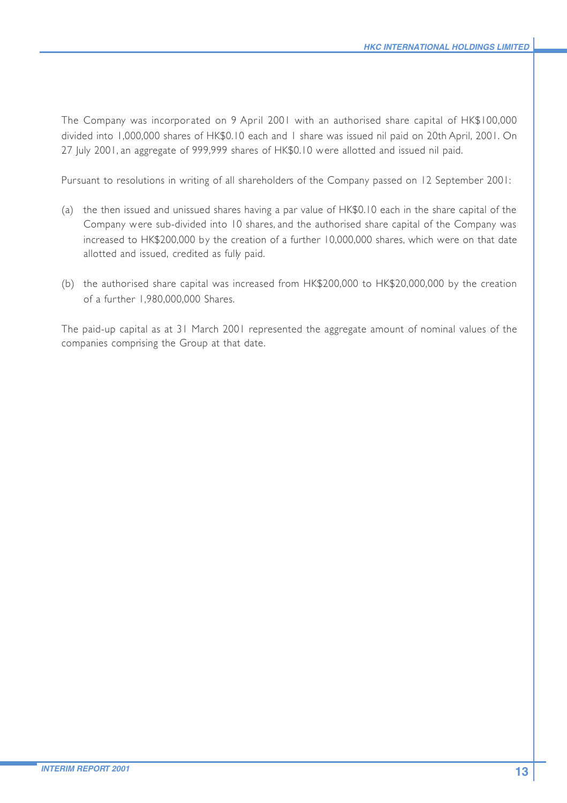The Company was incorporated on 9 April 2001 with an authorised share capital of HK\$100,000 divided into 1,000,000 shares of HK\$0.10 each and 1 share was issued nil paid on 20th April, 2001. On 27 July 2001, an aggregate of 999,999 shares of HK\$0.10 were allotted and issued nil paid.

Pursuant to resolutions in writing of all shareholders of the Company passed on 12 September 2001:

- (a) the then issued and unissued shares having a par value of HK\$0.10 each in the share capital of the Company were sub-divided into 10 shares, and the authorised share capital of the Company was increased to HK\$200,000 by the creation of a further 10,000,000 shares, which were on that date allotted and issued, credited as fully paid.
- (b) the authorised share capital was increased from HK\$200,000 to HK\$20,000,000 by the creation of a further 1,980,000,000 Shares.

The paid-up capital as at 31 March 2001 represented the aggregate amount of nominal values of the companies comprising the Group at that date.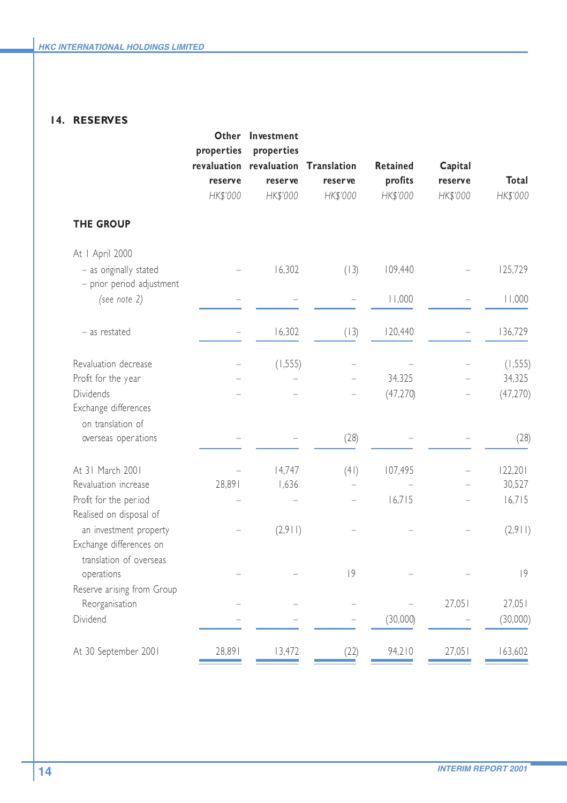### **14. RESERVES**

|                                                                              | Other<br>properties<br>reserve<br>HK\$'000 | Investment<br>properties<br>revaluation revaluation<br>reser ve<br>HK\$'000 | <b>Translation</b><br><b>reserve</b><br>HK\$'000 | <b>Retained</b><br>profits<br>HK\$'000 | Capital<br>reserve<br>HK\$'000 | Total<br>HK\$'000 |
|------------------------------------------------------------------------------|--------------------------------------------|-----------------------------------------------------------------------------|--------------------------------------------------|----------------------------------------|--------------------------------|-------------------|
| <b>THE GROUP</b>                                                             |                                            |                                                                             |                                                  |                                        |                                |                   |
| At   April 2000                                                              |                                            |                                                                             |                                                  |                                        |                                |                   |
| - as originally stated<br>- prior period adjustment                          |                                            | 16,302                                                                      | (13)                                             | 109,440                                |                                | 125,729           |
| (see note 2)                                                                 |                                            |                                                                             |                                                  | 11,000                                 |                                | 11,000            |
| - as restated                                                                |                                            | 16,302                                                                      | (13)                                             | 120,440                                |                                | 136,729           |
| Revaluation decrease                                                         |                                            | (1, 555)                                                                    |                                                  |                                        |                                | (1, 555)          |
| Profit for the year                                                          |                                            |                                                                             |                                                  | 34,325                                 |                                | 34,325            |
| <b>Dividends</b><br>Exchange differences<br>on translation of                |                                            |                                                                             |                                                  | (47, 270)                              |                                | (47, 270)         |
| overseas operations                                                          |                                            |                                                                             | (28)                                             |                                        |                                | (28)              |
| At 31 March 2001                                                             |                                            | 14,747                                                                      | (41)                                             | 107,495                                |                                | 122,201           |
| Revaluation increase                                                         | 28,891                                     | 1,636                                                                       |                                                  |                                        |                                | 30,527            |
| Profit for the period<br>Realised on disposal of                             |                                            |                                                                             |                                                  | 16,715                                 |                                | 16,715            |
| an investment property<br>Exchange differences on<br>translation of overseas |                                            | (2,911)                                                                     |                                                  |                                        |                                | (2,911)           |
| operations                                                                   |                                            |                                                                             | 9                                                |                                        |                                | 9                 |
| Reserve arising from Group<br>Reorganisation                                 |                                            |                                                                             |                                                  |                                        | 27,051                         | 27,051            |
| Dividend                                                                     |                                            |                                                                             |                                                  | (30,000)                               |                                | (30,000)          |
| At 30 September 2001                                                         | 28,891                                     | 13,472                                                                      | (22)                                             | 94,210                                 | 27,051                         | 163,602           |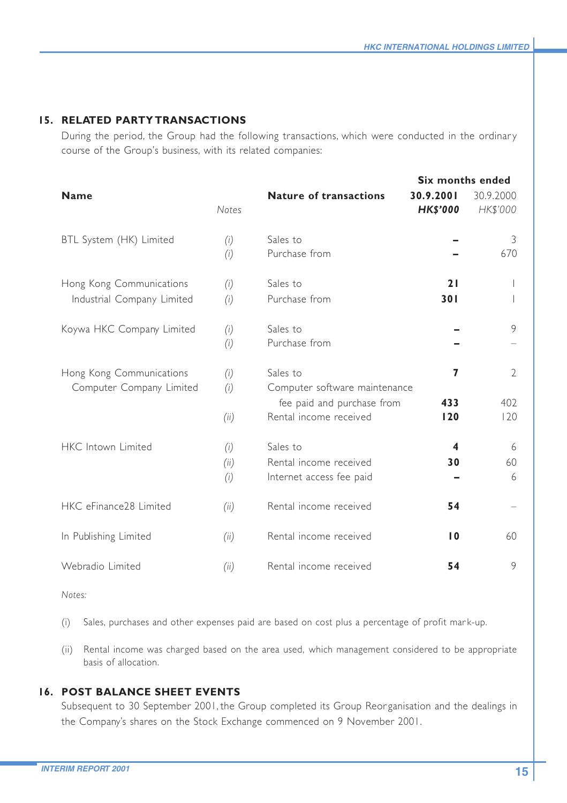#### **15. RELATED PARTY TRANSACTIONS**

During the period, the Group had the following transactions, which were conducted in the ordinary course of the Group's business, with its related companies:

|                                                        |                    | Six months ended                                                                                  |                              |                              |
|--------------------------------------------------------|--------------------|---------------------------------------------------------------------------------------------------|------------------------------|------------------------------|
| <b>Name</b>                                            | <b>Notes</b>       | <b>Nature of transactions</b>                                                                     | 30.9.2001<br><b>HK\$'000</b> | 30.9.2000<br>HK\$'000        |
| BTL System (HK) Limited                                | (i)<br>(i)         | Sales to<br>Purchase from                                                                         |                              | 3<br>670                     |
| Hong Kong Communications<br>Industrial Company Limited | (i)<br>(i)         | Sales to<br>Purchase from                                                                         | 21<br>301                    |                              |
| Koywa HKC Company Limited                              | (i)<br>(i)         | Sales to<br>Purchase from                                                                         |                              | 9                            |
| Hong Kong Communications<br>Computer Company Limited   | (i)<br>(i)<br>(ii) | Sales to<br>Computer software maintenance<br>fee paid and purchase from<br>Rental income received | 7<br>433<br>120              | $\mathfrak{D}$<br>402<br>120 |
| HKC Intown Limited                                     | (i)<br>(ii)<br>(i) | Sales to<br>Rental income received<br>Internet access fee paid                                    | 4<br>30                      | 6<br>60<br>6                 |
| HKC eFinance28 Limited                                 | (ii)               | Rental income received                                                                            | 54                           |                              |
| In Publishing Limited                                  | (ii)               | Rental income received                                                                            | $\overline{10}$              | 60                           |
| Webradio Limited                                       | (ii)               | Rental income received                                                                            | 54                           | 9                            |

*Notes:*

- (i) Sales, purchases and other expenses paid are based on cost plus a percentage of profit mar k-up.
- (ii) Rental income was charged based on the area used, which management considered to be appropriate basis of allocation.

### **16. POST BALANCE SHEET EVENTS**

Subsequent to 30 September 2001, the Group completed its Group Reorganisation and the dealings in the Company's shares on the Stock Exchange commenced on 9 November 2001.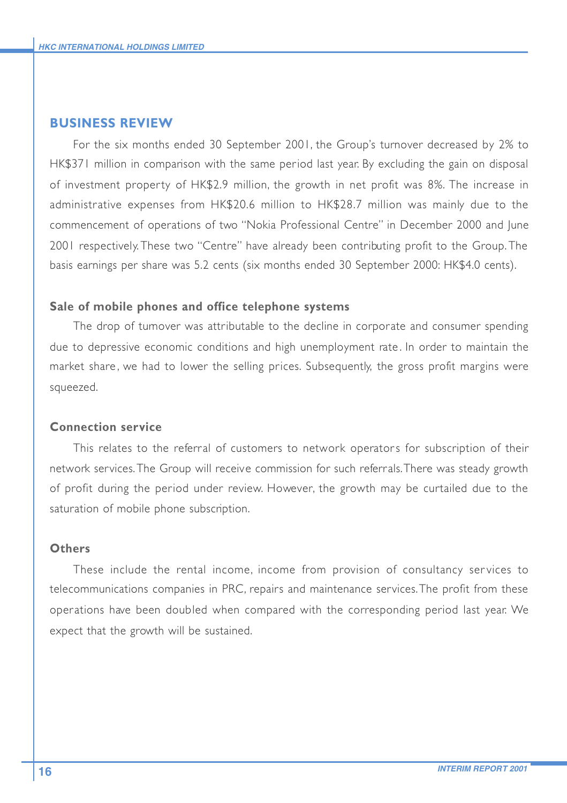### **BUSINESS REVIEW**

For the six months ended 30 September 2001, the Group's turnover decreased by 2% to HK\$371 million in comparison with the same period last year. By excluding the gain on disposal of investment property of HK\$2.9 million, the growth in net profit was 8%. The increase in administrative expenses from HK\$20.6 million to HK\$28.7 million was mainly due to the commencement of operations of two "Nokia Professional Centre" in December 2000 and June 2001 respectively. These two "Centre" have already been contributing profit to the Group. The basis earnings per share was 5.2 cents (six months ended 30 September 2000: HK\$4.0 cents).

#### **Sale of mobile phones and office telephone systems**

The drop of turnover was attributable to the decline in corporate and consumer spending due to depressive economic conditions and high unemployment rate . In order to maintain the market share , we had to lower the selling prices. Subsequently, the gross profit margins were squeezed.

### **Connection service**

This relates to the referral of customers to network operators for subscription of their network services. The Group will receive commission for such referrals. There was steady growth of profit during the period under review. However, the growth may be curtailed due to the saturation of mobile phone subscription.

### **Others**

These include the rental income, income from provision of consultancy ser vices to telecommunications companies in PRC, repairs and maintenance services. The profit from these operations have been doubled when compared with the corresponding period last year. We expect that the growth will be sustained.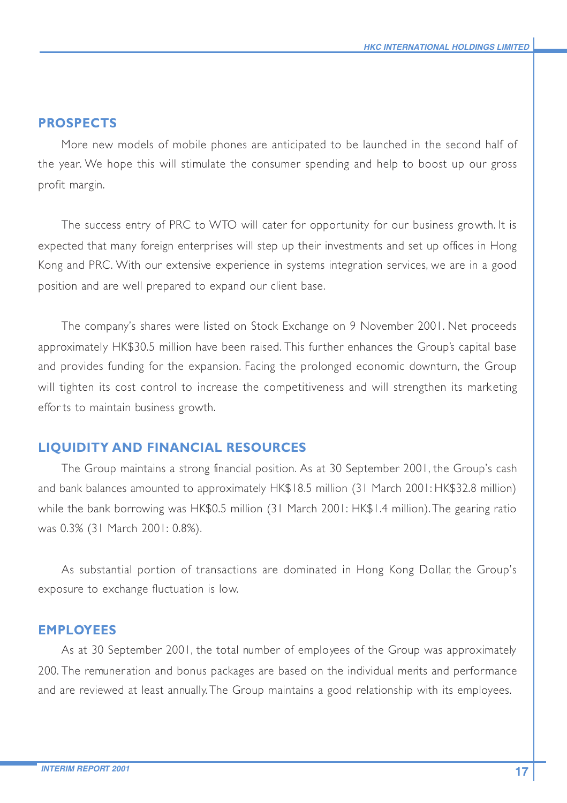### **PROSPECTS**

More new models of mobile phones are anticipated to be launched in the second half of the year. We hope this will stimulate the consumer spending and help to boost up our gross profit margin.

The success entry of PRC to WTO will cater for opportunity for our business growth. It is expected that many foreign enterprises will step up their investments and set up offices in Hong Kong and PRC. With our extensive experience in systems integration services, we are in a good position and are well prepared to expand our client base.

The company's shares were listed on Stock Exchange on 9 November 2001. Net proceeds approximately HK\$30.5 million have been raised. This further enhances the Group's capital base and provides funding for the expansion. Facing the prolonged economic downturn, the Group will tighten its cost control to increase the competitiveness and will strengthen its marketing effor ts to maintain business growth.

#### **LIQUIDITY AND FINANCIAL RESOURCES**

The Group maintains a strong financial position. As at 30 September 2001, the Group's cash and bank balances amounted to approximately HK\$18.5 million (31 March 2001: HK\$32.8 million) while the bank borrowing was HK\$0.5 million (31 March 2001: HK\$1.4 million). The gearing ratio was 0.3% (31 March 2001: 0.8%).

As substantial portion of transactions are dominated in Hong Kong Dollar, the Group's exposure to exchange fluctuation is low.

### **EMPLOYEES**

As at 30 September 2001, the total number of employees of the Group was approximately 200. The remuneration and bonus packages are based on the individual merits and performance and are reviewed at least annually. The Group maintains a good relationship with its employees.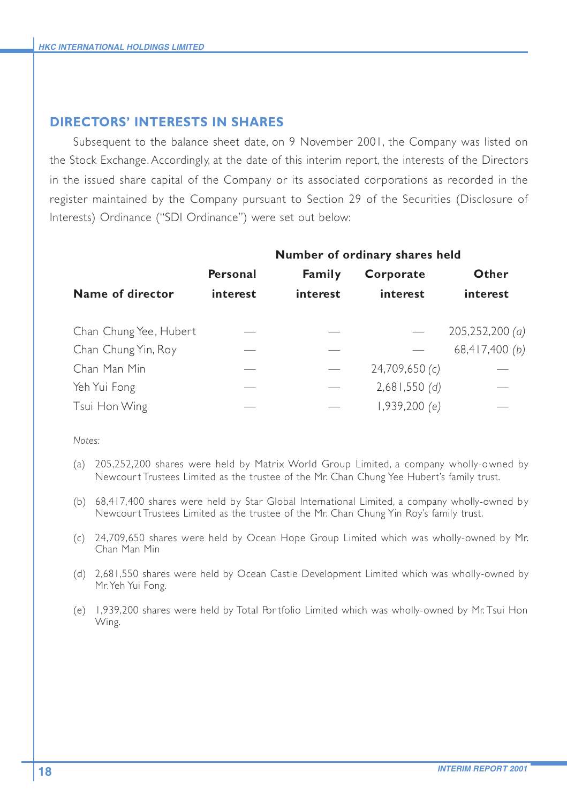### **DIRECTORS' INTERESTS IN SHARES**

Subsequent to the balance sheet date, on 9 November 2001, the Company was listed on the Stock Exchange. Accordingly, at the date of this interim report, the interests of the Directors in the issued share capital of the Company or its associated corporations as recorded in the register maintained by the Company pursuant to Section 29 of the Securities (Disclosure of Interests) Ordinance ("SDI Ordinance") were set out below:

|                        | Number of ordinary shares held |          |                      |                |
|------------------------|--------------------------------|----------|----------------------|----------------|
|                        | Personal                       | Family   | Corporate            | Other          |
| Name of director       | interest                       | interest | interest             | interest       |
|                        |                                |          |                      |                |
| Chan Chung Yee, Hubert |                                |          |                      | 205,252,200(a) |
| Chan Chung Yin, Roy    |                                |          |                      | 68,417,400 (b) |
| Chan Man Min           |                                |          | 24,709,650 (c)       |                |
| Yeh Yui Fong           |                                |          | 2,681,550(d)         |                |
| Tsui Hon Wing          |                                |          | 1.939.200 <i>(e)</i> |                |

*Notes:*

- (a) 205,252,200 shares were held by Matrix World Group Limited, a company wholly-owned by Newcour t Trustees Limited as the trustee of the Mr. Chan Chung Yee Hubert's family trust.
- (b) 68,417,400 shares were held by Star Global International Limited, a company wholly-owned by Newcour t Trustees Limited as the trustee of the Mr. Chan Chung Yin Roy's family trust.
- (c) 24,709,650 shares were held by Ocean Hope Group Limited which was wholly-owned by Mr. Chan Man Min
- (d) 2,681,550 shares were held by Ocean Castle Development Limited which was wholly-owned by Mr. Yeh Yui Fong.
- (e) 1,939,200 shares were held by Total Por tfolio Limited which was wholly-owned by Mr. Tsui Hon Wing.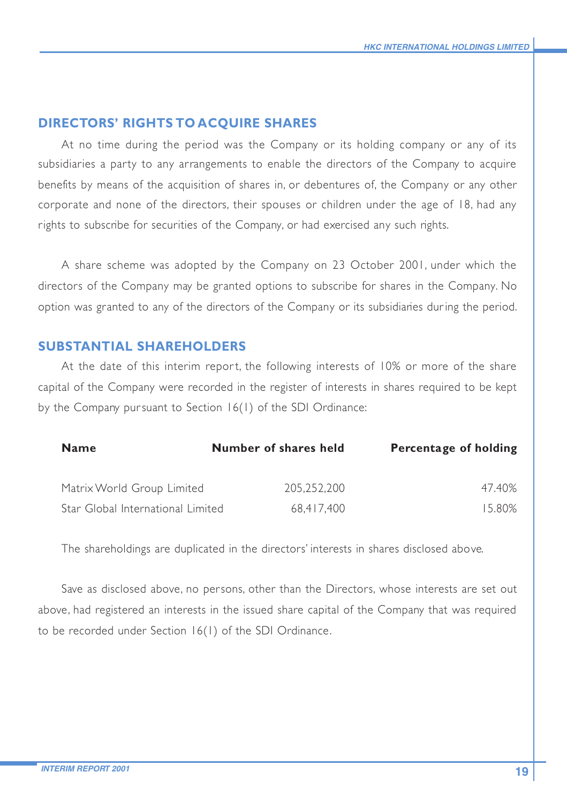### **DIRECTORS' RIGHTS TO ACQUIRE SHARES**

At no time during the period was the Company or its holding company or any of its subsidiaries a party to any arrangements to enable the directors of the Company to acquire benefits by means of the acquisition of shares in, or debentures of, the Company or any other corporate and none of the directors, their spouses or children under the age of 18, had any rights to subscribe for securities of the Company, or had exercised any such rights.

A share scheme was adopted by the Company on 23 October 2001, under which the directors of the Company may be granted options to subscribe for shares in the Company. No option was granted to any of the directors of the Company or its subsidiaries dur ing the period.

### **SUBSTANTIAL SHAREHOLDERS**

At the date of this interim report, the following interests of 10% or more of the share capital of the Company were recorded in the register of interests in shares required to be kept by the Company pur suant to Section 16(1) of the SDI Ordinance:

| <b>Name</b>                       | Number of shares held | Percentage of holding |
|-----------------------------------|-----------------------|-----------------------|
| Matrix World Group Limited        | 205.252.200           | 47.40%                |
| Star Global International Limited | 68.417.400            | 15.80%                |

The shareholdings are duplicated in the directors' interests in shares disclosed above.

Save as disclosed above, no persons, other than the Directors, whose interests are set out above, had registered an interests in the issued share capital of the Company that was required to be recorded under Section 16(1) of the SDI Ordinance.